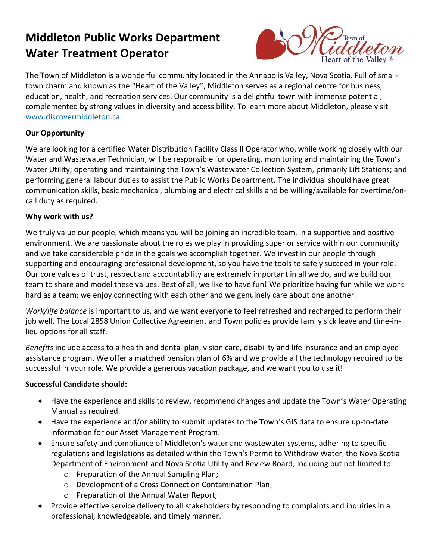# **Middleton Public Works Department Water Treatment Operator**



The Town of Middleton is a wonderful community located in the Annapolis Valley, Nova Scotia. Full of smalltown charm and known as the "Heart of the Valley", Middleton serves as a regional centre for business, education, health, and recreation services. Our community is a delightful town with immense potential, complemented by strong values in diversity and accessibility. To learn more about Middleton, please visit [www.discovermiddleton.ca](http://www.discovermiddleton.ca/)

### **Our Opportunity**

We are looking for a certified Water Distribution Facility Class II Operator who, while working closely with our Water and Wastewater Technician, will be responsible for operating, monitoring and maintaining the Town's Water Utility; operating and maintaining the Town's Wastewater Collection System, primarily Lift Stations; and performing general labour duties to assist the Public Works Department. The individual should have great communication skills, basic mechanical, plumbing and electrical skills and be willing/available for overtime/oncall duty as required.

#### **Why work with us?**

We truly value our people, which means you will be joining an incredible team, in a supportive and positive environment. We are passionate about the roles we play in providing superior service within our community and we take considerable pride in the goals we accomplish together. We invest in our people through supporting and encouraging professional development, so you have the tools to safely succeed in your role. Our core values of trust, respect and accountability are extremely important in all we do, and we build our team to share and model these values. Best of all, we like to have fun! We prioritize having fun while we work hard as a team; we enjoy connecting with each other and we genuinely care about one another.

*Work/life balance* is important to us, and we want everyone to feel refreshed and recharged to perform their job well. The Local 2858 Union Collective Agreement and Town policies provide family sick leave and time-inlieu options for all staff.

*Benefits* include access to a health and dental plan, vision care, disability and life insurance and an employee assistance program. We offer a matched pension plan of 6% and we provide all the technology required to be successful in your role. We provide a generous vacation package, and we want you to use it!

### **Successful Candidate should:**

- Have the experience and skills to review, recommend changes and update the Town's Water Operating Manual as required.
- Have the experience and/or ability to submit updates to the Town's GIS data to ensure up-to-date information for our Asset Management Program.
- Ensure safety and compliance of Middleton's water and wastewater systems, adhering to specific regulations and legislations as detailed within the Town's Permit to Withdraw Water, the Nova Scotia Department of Environment and Nova Scotia Utility and Review Board; including but not limited to:
	- o Preparation of the Annual Sampling Plan;
	- o Development of a Cross Connection Contamination Plan;
	- o Preparation of the Annual Water Report;
- Provide effective service delivery to all stakeholders by responding to complaints and inquiries in a professional, knowledgeable, and timely manner.